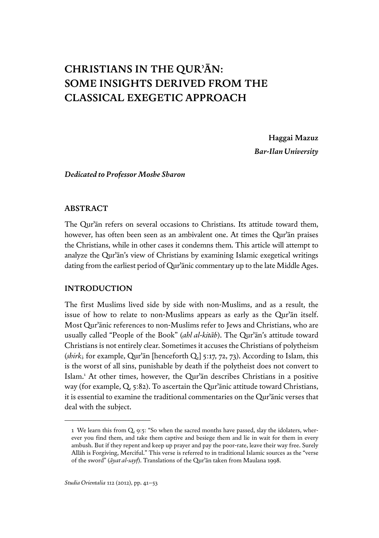# **Christians in the Qurʾān: Some Insights Derived from the Classical Exegetic Approach**

**Haggai Mazuz** *Bar-Ilan University*

*Dedicated to Professor Moshe Sharon*

#### **Abstract**

The Qurʾān refers on several occasions to Christians. Its attitude toward them, however, has often been seen as an ambivalent one. At times the Qurʾān praises the Christians, while in other cases it condemns them. This article will attempt to analyze the Qurʾān's view of Christians by examining Islamic exegetical writings dating from the earliest period of Qurʾānic commentary up to the late Middle Ages.

## **INTRODUCTION**

The first Muslims lived side by side with non-Muslims, and as a result, the issue of how to relate to non-Muslims appears as early as the Qurʾān itself. Most Qurʾānic references to non-Muslims refer to Jews and Christians, who are usually called "People of the Book" (*ahl al-kitāb*). The Qurʾān's attitude toward Christians is not entirely clear. Sometimes it accuses the Christians of polytheism (*shirk*; for example, Qurʾān [henceforth Q.] 5:17, 72, 73). According to Islam, this is the worst of all sins, punishable by death if the polytheist does not convert to Islam.1 At other times, however, the Qurʾān describes Christians in a positive way (for example, Q. 5:82). To ascertain the Qurʾānic attitude toward Christians, it is essential to examine the traditional commentaries on the Qurʾānic verses that deal with the subject.

<sup>1</sup> We learn this from Q. 9:5: "So when the sacred months have passed, slay the idolaters, wherever you find them, and take them captive and besiege them and lie in wait for them in every ambush. But if they repent and keep up prayer and pay the poor-rate, leave their way free. Surely Allāh is Forgiving, Merciful." This verse is referred to in traditional Islamic sources as the "verse of the sword" (*āyat al-sayf*). Translations of the Qurʾān taken from Maulana 1998.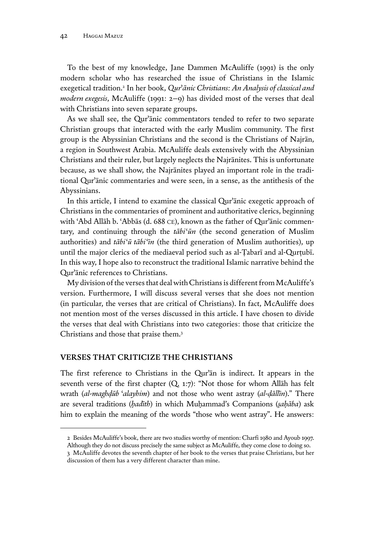To the best of my knowledge, Jane Dammen McAuliffe (1991) is the only modern scholar who has researched the issue of Christians in the Islamic exegetical tradition.2 In her book, *Qur*ʾ*ānic Christians: An Analysis of classical and modern exegesis*, McAuliffe (1991: 2–9) has divided most of the verses that deal with Christians into seven separate groups.

As we shall see, the Qurʾānic commentators tended to refer to two separate Christian groups that interacted with the early Muslim community. The first group is the Abyssinian Christians and the second is the Christians of Najrān, a region in Southwest Arabia. McAuliffe deals extensively with the Abyssinian Christians and their ruler, but largely neglects the Najrānites. This is unfortunate because, as we shall show, the Najrānites played an important role in the traditional Qurʾānic commentaries and were seen, in a sense, as the antithesis of the Abyssinians.

In this article, I intend to examine the classical Qurʾānic exegetic approach of Christians in the commentaries of prominent and authoritative clerics, beginning with ʿAbd Allāh b. ʿAbbās (d. 688 ce), known as the father of Qurʾānic commentary, and continuing through the *tābi*ʿ*ūn* (the second generation of Muslim authorities) and *tābi*ʿ*ū tābi*ʿ*īn* (the third generation of Muslim authorities), up until the major clerics of the mediaeval period such as al-Ṭabarī and al-Qurṭubī. In this way, I hope also to reconstruct the traditional Islamic narrative behind the Qurʾānic references to Christians.

My division of the verses that deal with Christians is different from McAuliffe's version. Furthermore, I will discuss several verses that she does not mention (in particular, the verses that are critical of Christians). In fact, McAuliffe does not mention most of the verses discussed in this article. I have chosen to divide the verses that deal with Christians into two categories: those that criticize the Christians and those that praise them.3

#### **VERSES THAT CRITICIZE THE CHRISTIANS**

The first reference to Christians in the Qurʾān is indirect. It appears in the seventh verse of the first chapter (Q. 1:7): "Not those for whom Allāh has felt wrath (*al-maghḍūb* ʿ*alayhim*) and not those who went astray (*al-ḍāllīn*)." There are several traditions (*ḥadīth*) in which Muḥammad's Companions (*ṣaḥāba*) ask him to explain the meaning of the words "those who went astray". He answers:

<sup>2</sup> Besides McAuliffe's book, there are two studies worthy of mention: Charfi 1980 and Ayoub 1997. Although they do not discuss precisely the same subject as McAuliffe, they come close to doing so.

<sup>3</sup> McAuliffe devotes the seventh chapter of her book to the verses that praise Christians, but her discussion of them has a very different character than mine.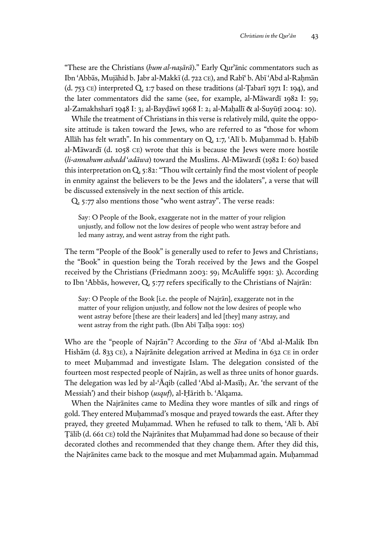"These are the Christians (*hum al-naṣārā*)." Early Qurʾānic commentators such as Ibn ʿAbbās, Mujāhid b. Jabr al-Makkī (d. 722 ce), and Rabīʿ b. Abī ʿAbd al-Raḥmān (d. 753 ce) interpreted Q. 1:7 based on these traditions (al-Ṭabarī 1971 I: 194), and the later commentators did the same (see, for example, al-Māwardī 1982 I: 59; al-Zamakhsharī 1948 I: 3; al-Bayḍāwī 1968 I: 2; al-Maḥallī & al-Suyūṭī 2004: 10).

While the treatment of Christians in this verse is relatively mild, quite the opposite attitude is taken toward the Jews, who are referred to as "those for whom Allāh has felt wrath". In his commentary on Q. 1:7, ʿAlī b. Muḥammad b. Ḥabīb al-Māwardī (d. 1058 ce) wrote that this is because the Jews were more hostile (*li-annahum ashadd* ʿ*adāwa*) toward the Muslims. Al-Māwardī (1982 I: 60) based this interpretation on Q. 5:82: "Thou wilt certainly find the most violent of people in enmity against the believers to be the Jews and the idolaters", a verse that will be discussed extensively in the next section of this article.

Q. 5:77 also mentions those "who went astray". The verse reads:

Say: O People of the Book, exaggerate not in the matter of your religion unjustly, and follow not the low desires of people who went astray before and led many astray, and went astray from the right path.

The term "People of the Book" is generally used to refer to Jews and Christians; the "Book" in question being the Torah received by the Jews and the Gospel received by the Christians (Friedmann 2003: 59; McAuliffe 1991: 3). According to Ibn ʿAbbās, however, Q. 5:77 refers specifically to the Christians of Najrān:

Say: O People of the Book [i.e. the people of Najrān], exaggerate not in the matter of your religion unjustly, and follow not the low desires of people who went astray before [these are their leaders] and led [they] many astray, and went astray from the right path. (Ibn Abī Ṭalḥa 1991: 105)

Who are the "people of Najrān"? According to the *Sīra* of ʿAbd al-Malik Ibn Hishām (d. 833 ce), a Najrānite delegation arrived at Medina in 632 ce in order to meet Muḥammad and investigate Islam. The delegation consisted of the fourteen most respected people of Najrān, as well as three units of honor guards. The delegation was led by al-ʿĀqib (called ʿAbd al-Masīḥ; Ar. 'the servant of the Messiah') and their bishop (*usquf*), al-Ḥārith b. ʿAlqama.

When the Najrānites came to Medina they wore mantles of silk and rings of gold. They entered Muḥammad's mosque and prayed towards the east. After they prayed, they greeted Muḥammad. When he refused to talk to them, ʿAlī b. Abī Ṭālib (d. 661 ce) told the Najrānites that Muḥammad had done so because of their decorated clothes and recommended that they change them. After they did this, the Najrānites came back to the mosque and met Muḥammad again. Muḥammad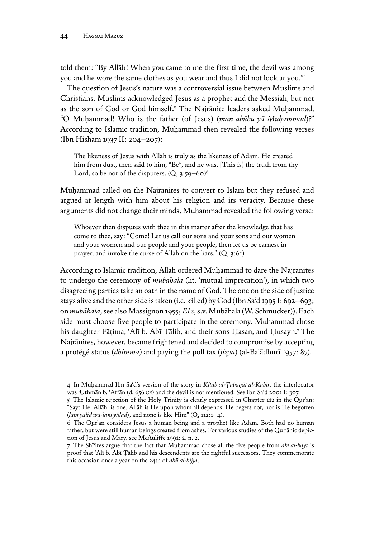told them: "By Allāh! When you came to me the first time, the devil was among you and he wore the same clothes as you wear and thus I did not look at you."4

The question of Jesus's nature was a controversial issue between Muslims and Christians. Muslims acknowledged Jesus as a prophet and the Messiah, but not as the son of God or God himself.<sup>5</sup> The Najrānite leaders asked Muḥammad, "O Muḥammad! Who is the father (of Jesus) (*man abūhu yā Muḥammad*)?" According to Islamic tradition, Muḥammad then revealed the following verses (Ibn Hishām 1937 II: 204–207):

The likeness of Jesus with Allāh is truly as the likeness of Adam. He created him from dust, then said to him, "Be", and he was. [This is] the truth from thy Lord, so be not of the disputers.  $(Q, 3:59-60)^6$ 

Muhammad called on the Najrānites to convert to Islam but they refused and argued at length with him about his religion and its veracity. Because these arguments did not change their minds, Muḥammad revealed the following verse:

Whoever then disputes with thee in this matter after the knowledge that has come to thee, say: "Come! Let us call our sons and your sons and our women and your women and our people and your people, then let us be earnest in prayer, and invoke the curse of Allāh on the liars." (Q. 3:61)

According to Islamic tradition, Allāh ordered Muḥammad to dare the Najrānites to undergo the ceremony of *mubāhala* (lit. 'mutual imprecation'), in which two disagreeing parties take an oath in the name of God. The one on the side of justice stays alive and the other side is taken (i.e. killed) by God (Ibn Saʿd 1995 I: 692–693; on *mubāhala*, see also Massignon 1955; *EI2*, s.v. Mubāhala (W. Schmucker)). Each side must choose five people to participate in the ceremony. Muḥammad chose his daughter Fāṭima, ʿAlī b. Abī Ṭālib, and their sons Ḥasan, and Ḥusayn.<sup>7</sup> The Najrānites, however, became frightened and decided to compromise by accepting a protégé status (*dhimma*) and paying the poll tax (*jizya*) (al-Balādhurī 1957: 87).

<sup>4</sup> In Muḥammad Ibn Saʿd's version of the story in *Kitāb al-Ṭabaqāt al-Kabīr*, the interlocutor was ʿUthmān b. ʿAffān (d. 656 ce) and the devil is not mentioned. See Ibn Saʿd 2001 I: 307.

<sup>5</sup> The Islamic rejection of the Holy Trinity is clearly expressed in Chapter 112 in the Qurʾān: "Say: He, Allāh, is one. Allāh is He upon whom all depends. He begets not, nor is He begotten (*lam yalid wa-lam yūlad*); and none is like Him" (Q. 112:1–4).

<sup>6</sup> The Qurʾān considers Jesus a human being and a prophet like Adam. Both had no human father, but were still human beings created from ashes. For various studies of the Qurʾānic depiction of Jesus and Mary, see McAuliffe 1991: 2, n. 2.

<sup>7</sup> The Shīʿites argue that the fact that Muḥammad chose all the five people from *ahl al-bayt* is proof that ʿAlī b. Abī Ṭālib and his descendents are the rightful successors. They commemorate this occasion once a year on the 24th of *dhū al-ḥijja*.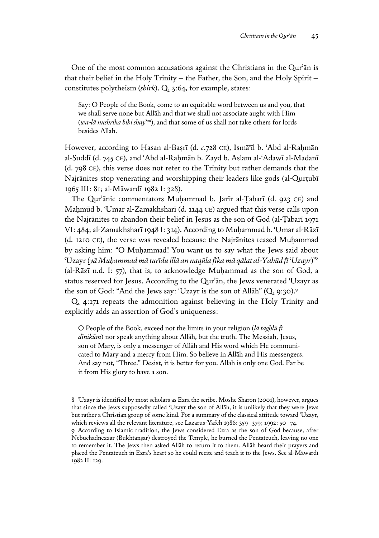One of the most common accusations against the Christians in the Qurʾān is that their belief in the Holy Trinity – the Father, the Son, and the Holy Spirit – constitutes polytheism (*shirk*). Q. 3:64, for example, states:

Say: O People of the Book, come to an equitable word between us and you, that we shall serve none but Allāh and that we shall not associate aught with Him (*wa-lā nushrika bihi shay*ʾ *an*), and that some of us shall not take others for lords besides Allāh.

However, according to Ḥasan al-Baṣrī (d. *c*.728 ce), Ismāʿīl b. ʿAbd al-Raḥmān al-Suddī (d. 745 ce), and ʿAbd al-Raḥmān b. Zayd b. Aslam al-ʿAdawī al-Madanī (d. 798 ce), this verse does not refer to the Trinity but rather demands that the Najrānites stop venerating and worshipping their leaders like gods (al-Qurṭubī 1965 III: 81; al-Māwardī 1982 I: 328).

The Qur'ānic commentators Muhammad b. Jarīr al-Tabarī (d. 923 CE) and Maḥmūd b. ʿUmar al-Zamakhsharī (d. 1144 ce) argued that this verse calls upon the Najrānites to abandon their belief in Jesus as the son of God (al-Ṭabarī 1971 VI: 484; al-Zamakhsharī 1948 I: 314). According to Muḥammad b. ʿUmar al-Rāzī (d. 1210 ce), the verse was revealed because the Najrānites teased Muḥammad by asking him: "O Muḥammad! You want us to say what the Jews said about ʿUzayr (*yā Muḥammad mā turīdu illā an naqūla fīka mā qālat al-Yahūd fī* ʿ*Uzayr*)"8 (al-Rāzī n.d. I: 57), that is, to acknowledge Muḥammad as the son of God, a status reserved for Jesus. According to the Qurʾān, the Jews venerated ʿUzayr as the son of God: "And the Jews say: 'Uzayr is the son of Allāh" (Q. 9:30).<sup>9</sup>

Q. 4:171 repeats the admonition against believing in the Holy Trinity and explicitly adds an assertion of God's uniqueness:

O People of the Book, exceed not the limits in your religion (*lā taghlū fī dīnikūm*) nor speak anything about Allāh, but the truth. The Messiah, Jesus, son of Mary, is only a messenger of Allāh and His word which He communicated to Mary and a mercy from Him. So believe in Allāh and His messengers. And say not, "Three." Desist, it is better for you. Allāh is only one God. Far be it from His glory to have a son.

<sup>8</sup> ʿUzayr is identified by most scholars as Ezra the scribe. Moshe Sharon (2001), however, argues that since the Jews supposedly called ʿUzayr the son of Allāh, it is unlikely that they were Jews but rather a Christian group of some kind. For a summary of the classical attitude toward ʿUzayr, which reviews all the relevant literature, see Lazarus-Yafeh 1986: 359–379; 1992: 50–74.

<sup>9</sup> According to Islamic tradition, the Jews considered Ezra as the son of God because, after Nebuchadnezzar (Bukhtanṣar) destroyed the Temple, he burned the Pentateuch, leaving no one to remember it. The Jews then asked Allāh to return it to them. Allāh heard their prayers and placed the Pentateuch in Ezra's heart so he could recite and teach it to the Jews. See al-Māwardī 1982 II: 129.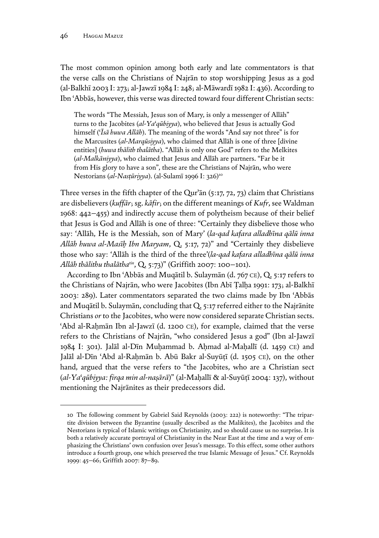The most common opinion among both early and late commentators is that the verse calls on the Christians of Najrān to stop worshipping Jesus as a god (al-Balkhī 2003 I: 273; al-Jawzī 1984 I: 248; al-Māwardī 1982 I: 436). According to Ibn ʿAbbās, however, this verse was directed toward four different Christian sects:

The words "The Messiah, Jesus son of Mary, is only a messenger of Allāh" turns to the Jacobites (*al-Ya*ʿ*qūbiyya*), who believed that Jesus is actually God himself (ʿ*Īsā huwa Allāh*). The meaning of the words "And say not three" is for the Marcusites (*al-Marqūsiyya*), who claimed that Allāh is one of three [divine entities] (*huwa thālith thalātha*). "Allāh is only one God" refers to the Melkites (*al-Malkāniyya*), who claimed that Jesus and Allāh are partners. "Far be it from His glory to have a son", these are the Christians of Najrān, who were Nestorians (al-Nasțūriyya). (al-Sulamī 1996 I: 326)<sup>10</sup>

Three verses in the fifth chapter of the Qurʾān (5:17, 72, 73) claim that Christians are disbelievers (*kuffār*; sg. *kāfir*; on the different meanings of *Kufr*, see Waldman 1968: 442–455) and indirectly accuse them of polytheism because of their belief that Jesus is God and Allāh is one of three: "Certainly they disbelieve those who say: 'Allāh, He is the Messiah, son of Mary' (*la-qad kafara alladhīna qālū inna Allāh huwa al-Masīḥ Ibn Maryam*, Q. 5:17, 72)" and "Certainly they disbelieve those who say: 'Allāh is the third of the three'(*la-qad kafara alladhīna qālū inna Allāh thālithu thalāthatin*, Q. 5:73)" (Griffith 2007: 100–101).

According to Ibn ʿAbbās and Muqātil b. Sulaymān (d. 767 ce), Q. 5:17 refers to the Christians of Najrān, who were Jacobites (Ibn Abī Ṭalḥa 1991: 173; al-Balkhī 2003: 289). Later commentators separated the two claims made by Ibn ʿAbbās and Muqātil b. Sulaymān, concluding that Q. 5:17 referred either to the Najrānite Christians *or* to the Jacobites, who were now considered separate Christian sects. ʿAbd al-Raḥmān Ibn al-Jawzī (d. 1200 ce), for example, claimed that the verse refers to the Christians of Najrān, "who considered Jesus a god" (Ibn al-Jawzī 1984 I: 301). Jalāl al-Dīn Muḥammad b. Aḥmad al-Maḥallī (d. 1459 ce) and Jalāl al-Dīn ʿAbd al-Raḥmān b. Abū Bakr al-Suyūṭī (d. 1505 ce), on the other hand, argued that the verse refers to "the Jacobites, who are a Christian sect (*al-Ya*ʿ*qūbiyya: firqa min al-naṣārā*)" (al-Maḥallī & al-Suyūṭī 2004: 137), without mentioning the Najrānites as their predecessors did.

<sup>10</sup> The following comment by Gabriel Said Reynolds (2003: 222) is noteworthy: "The tripartite division between the Byzantine (usually described as the Malikites), the Jacobites and the Nestorians is typical of Islamic writings on Christianity, and so should cause us no surprise. It is both a relatively accurate portrayal of Christianity in the Near East at the time and a way of emphasizing the Christians' own confusion over Jesus's message. To this effect, some other authors introduce a fourth group, one which preserved the true Islamic Message of Jesus." Cf. Reynolds 1999: 45–66; Griffith 2007: 87–89.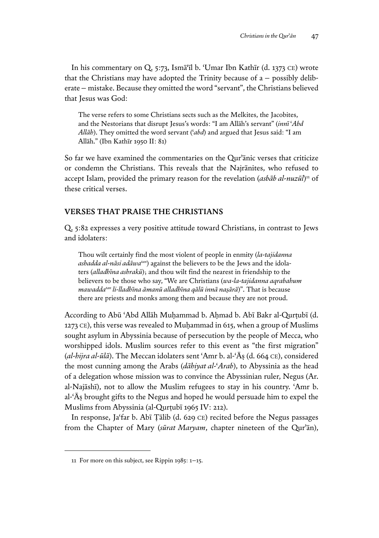In his commentary on Q. 5:73, Ismāʿīl b. ʿUmar Ibn Kathīr (d. 1373 ce) wrote that the Christians may have adopted the Trinity because of  $a -$  possibly deliberate – mistake. Because they omitted the word "servant", the Christians believed that Jesus was God:

The verse refers to some Christians sects such as the Melkites, the Jacobites, and the Nestorians that disrupt Jesus's words: "I am Allāh's servant" (*innī* ʿ*Abd Allāh*). They omitted the word servant (ʿ*abd*) and argued that Jesus said: "I am Allāh." (Ibn Kathīr 1950 II: 81)

So far we have examined the commentaries on the Qurʾānic verses that criticize or condemn the Christians. This reveals that the Najrānites, who refused to accept Islam, provided the primary reason for the revelation (*asbāb al-nuzūl*) 11 of these critical verses.

# **VERSES THAT PRAISE THE CHRISTIANS**

Q. 5:82 expresses a very positive attitude toward Christians, in contrast to Jews and idolaters:

Thou wilt certainly find the most violent of people in enmity (*la-tajidanna ashadda al-nāsi adāwatan*) against the believers to be the Jews and the idolaters (*alladhīna ashrakū*); and thou wilt find the nearest in friendship to the believers to be those who say, "We are Christians (*wa-la-tajidanna aqrabahum mawaddatan li-lladhīna āmanū alladhīna qālū innā naṣārā*)". That is because there are priests and monks among them and because they are not proud.

According to Abū 'Abd Allāh Muḥammad b. Aḥmad b. Abī Bakr al-Qurṭubī (d. 1273 ce), this verse was revealed to Muḥammad in 615, when a group of Muslims sought asylum in Abyssinia because of persecution by the people of Mecca, who worshipped idols. Muslim sources refer to this event as "the first migration" (*al-hijra al-ūlā*). The Meccan idolaters sent ʿAmr b. al-ʿĀṣ (d. 664 ce), considered the most cunning among the Arabs (*dāhiyat al-*ʿ*Arab*), to Abyssinia as the head of a delegation whose mission was to convince the Abyssinian ruler, Negus (Ar. al-Najāshī), not to allow the Muslim refugees to stay in his country. ʿAmr b. al-ʿĀṣ brought gifts to the Negus and hoped he would persuade him to expel the Muslims from Abyssinia (al-Qurṭubī 1965 IV: 212).

In response, Jaʿfar b. Abī Ṭālib (d. 629 ce) recited before the Negus passages from the Chapter of Mary (*sūrat Maryam*, chapter nineteen of the Qurʾān),

<sup>11</sup> For more on this subject, see Rippin 1985: 1–15.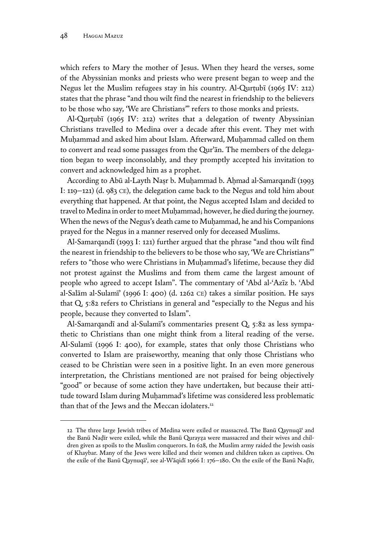which refers to Mary the mother of Jesus. When they heard the verses, some of the Abyssinian monks and priests who were present began to weep and the Negus let the Muslim refugees stay in his country. Al-Qurṭubī (1965 IV: 212) states that the phrase "and thou wilt find the nearest in friendship to the believers to be those who say, 'We are Christians'" refers to those monks and priests.

Al-Qurtubī (1965 IV: 212) writes that a delegation of twenty Abyssinian Christians travelled to Medina over a decade after this event. They met with Muhammad and asked him about Islam. Afterward, Muhammad called on them to convert and read some passages from the Qurʾān. The members of the delegation began to weep inconsolably, and they promptly accepted his invitation to convert and acknowledged him as a prophet.

According to Abū al-Layth Naṣr b. Muḥammad b. Aḥmad al-Samarqandī (1993 I: 119–121) (d. 983 CE), the delegation came back to the Negus and told him about everything that happened. At that point, the Negus accepted Islam and decided to travel to Medina in order to meet Muḥammad; however, he died during the journey. When the news of the Negus's death came to Muḥammad, he and his Companions prayed for the Negus in a manner reserved only for deceased Muslims.

Al-Samarqandī (1993 I: 121) further argued that the phrase "and thou wilt find the nearest in friendship to the believers to be those who say, 'We are Christians'" refers to "those who were Christians in Muḥammad's lifetime, because they did not protest against the Muslims and from them came the largest amount of people who agreed to accept Islam". The commentary of ʿAbd al-ʿAzīz b. ʿAbd al-Salām al-Sulamīʾ (1996 I: 400) (d. 1262 ce) takes a similar position. He says that Q. 5:82 refers to Christians in general and "especially to the Negus and his people, because they converted to Islam".

Al-Samarqandī and al-Sulamī's commentaries present Q. 5:82 as less sympathetic to Christians than one might think from a literal reading of the verse. Al-Sulamī (1996 I: 400), for example, states that only those Christians who converted to Islam are praiseworthy, meaning that only those Christians who ceased to be Christian were seen in a positive light. In an even more generous interpretation, the Christians mentioned are not praised for being objectively "good" or because of some action they have undertaken, but because their attitude toward Islam during Muḥammad's lifetime was considered less problematic than that of the Jews and the Meccan idolaters.<sup>12</sup>

<sup>12</sup> The three large Jewish tribes of Medina were exiled or massacred. The Banū Qaynuqā' and the Banū Naḍīr were exiled, while the Banū Qurayẓa were massacred and their wives and children given as spoils to the Muslim conquerors. In 628, the Muslim army raided the Jewish oasis of Khaybar. Many of the Jews were killed and their women and children taken as captives. On the exile of the Banū Qaynuqāʿ, see al-Wāqidī 1966 I: 176–180. On the exile of the Banū Naḍīr,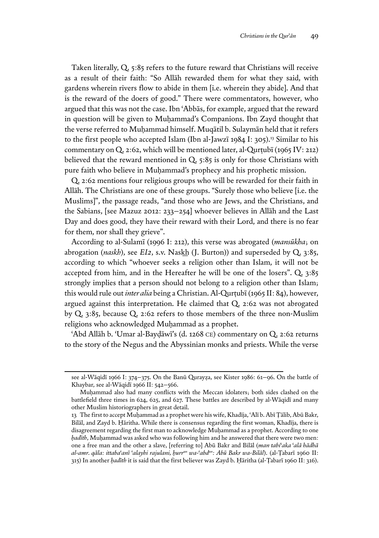Taken literally, Q. 5:85 refers to the future reward that Christians will receive as a result of their faith: "So Allāh rewarded them for what they said, with gardens wherein rivers flow to abide in them [i.e. wherein they abide]. And that is the reward of the doers of good." There were commentators, however, who argued that this was not the case. Ibn ʿAbbās, for example, argued that the reward in question will be given to Muhammad's Companions. Ibn Zayd thought that the verse referred to Muḥammad himself. Muqātil b. Sulaymān held that it refers to the first people who accepted Islam (Ibn al-Jawzī 1984 I: 305).<sup>13</sup> Similar to his commentary on Q. 2:62, which will be mentioned later, al-Qurṭubī (1965 IV: 212) believed that the reward mentioned in Q. 5:85 is only for those Christians with pure faith who believe in Muḥammad's prophecy and his prophetic mission.

Q. 2:62 mentions four religious groups who will be rewarded for their faith in Allāh. The Christians are one of these groups. "Surely those who believe [i.e. the Muslims]", the passage reads, "and those who are Jews, and the Christians, and the Sabians, [see Mazuz 2012: 233–254] whoever believes in Allāh and the Last Day and does good, they have their reward with their Lord, and there is no fear for them, nor shall they grieve".

According to al-Sulamī (1996 I: 212), this verse was abrogated (*mansūkha*; on abrogation (*naskh*), see *EI2*, s.v. Naskh (J. Burton)) and superseded by Q. 3:85, according to which "whoever seeks a religion other than Islam, it will not be accepted from him, and in the Hereafter he will be one of the losers". Q. 3:85 strongly implies that a person should not belong to a religion other than Islam; this would rule out *inter alia* being a Christian. Al-Qurṭubī (1965 II: 84), however, argued against this interpretation. He claimed that Q. 2:62 was not abrogated by Q. 3:85, because Q. 2:62 refers to those members of the three non-Muslim religions who acknowledged Muḥammad as a prophet.

ʿAbd Allāh b. ʿUmar al-Bayḍāwī's (d. 1268 ce) commentary on Q. 2:62 returns to the story of the Negus and the Abyssinian monks and priests. While the verse

see al-Wāqidī 1966 I: 374–375. On the Banū Qurayza, see Kister 1986: 61–96. On the battle of Khaybar, see al-Wāqidī 1966 II: 542–566.

Muḥammad also had many conflicts with the Meccan idolaters; both sides clashed on the battlefield three times in 624, 625, and 627. These battles are described by al-Wāqidī and many other Muslim historiographers in great detail.

<sup>13</sup> The first to accept Muḥammad as a prophet were his wife, Khadīja, ʿAlī b. Abī Ṭālib, Abū Bakr, Bilāl, and Zayd b. Ḥāritha. While there is consensus regarding the first woman, Khadīja, there is disagreement regarding the first man to acknowledge Muḥammad as a prophet. According to one *ḥadīth*, Muḥammad was asked who was following him and he answered that there were two men: one a free man and the other a slave, [referring to] Abū Bakr and Bilāl (*man tabi* ʿ*aka* ʿ*alā hādhā al-amr. qāla: ittaba*ʿ*anī* ʿ*alayhi rajulani, ḥurrun wa-*ʿ*abdun: Abū Bakr wa-Bilāl*). (al-Ṭabarī 1960 II: 315) In another *ḥadīth* it is said that the first believer was Zayd b. Ḥāritha (al-Ṭabarī 1960 II: 316).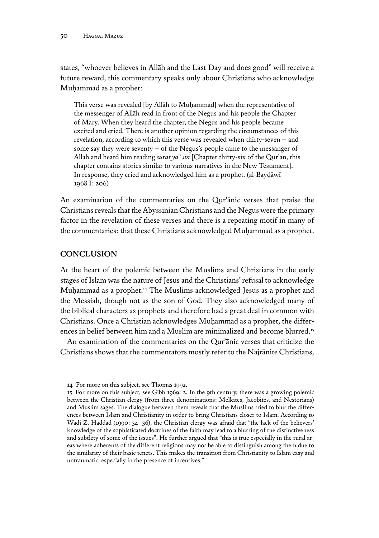states, "whoever believes in Allāh and the Last Day and does good" will receive a future reward, this commentary speaks only about Christians who acknowledge Muḥammad as a prophet:

This verse was revealed [by Allāh to Muḥammad] when the representative of the messenger of Allāh read in front of the Negus and his people the Chapter of Mary. When they heard the chapter, the Negus and his people became excited and cried. There is another opinion regarding the circumstances of this revelation, according to which this verse was revealed when thirty-seven – and some say they were seventy – of the Negus's people came to the messanger of Allāh and heard him reading *sūrat yā* ʾ *sīn* [Chapter thirty-six of the Qurʾān, this chapter contains stories similar to various narratives in the New Testament]. In response, they cried and acknowledged him as a prophet. (al-Bayḍāwī 1968 I: 206)

An examination of the commentaries on the Qurʾānic verses that praise the Christians reveals that the Abyssinian Christians and the Negus were the primary factor in the revelation of these verses and there is a repeating motif in many of the commentaries: that these Christians acknowledged Muḥammad as a prophet.

# **CONCLUSION**

At the heart of the polemic between the Muslims and Christians in the early stages of Islam was the nature of Jesus and the Christians' refusal to acknowledge Muḥammad as a prophet.14 The Muslims acknowledged Jesus as a prophet and the Messiah, though not as the son of God. They also acknowledged many of the biblical characters as prophets and therefore had a great deal in common with Christians. Once a Christian acknowledges Muḥammad as a prophet, the differences in belief between him and a Muslim are minimalized and become blurred.<sup>15</sup>

An examination of the commentaries on the Qurʾānic verses that criticize the Christians shows that the commentators mostly refer to the Najrānite Christians,

<sup>14</sup> For more on this subject, see Thomas 1992.

<sup>15</sup> For more on this subject, see Gibb 1969: 2. In the 9th century, there was a growing polemic between the Christian clergy (from three denominations: Melkites, Jacobites, and Nestorians) and Muslim sages. The dialogue between them reveals that the Muslims tried to blur the differences between Islam and Christianity in order to bring Christians closer to Islam. According to Wadi Z. Haddad (1990: 34–36), the Christian clergy was afraid that "the lack of the believers' knowledge of the sophisticated doctrines of the faith may lead to a blurring of the distinctiveness and subtlety of some of the issues". He further argued that "this is true especially in the rural areas where adherents of the different religions may not be able to distinguish among them due to the similarity of their basic tenets. This makes the transition from Christianity to Islam easy and untraumatic, especially in the presence of incentives."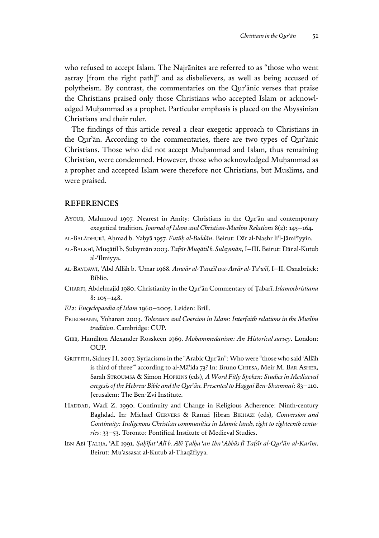who refused to accept Islam. The Najrānites are referred to as "those who went astray [from the right path]" and as disbelievers, as well as being accused of polytheism. By contrast, the commentaries on the Qurʾānic verses that praise the Christians praised only those Christians who accepted Islam or acknowledged Muḥammad as a prophet. Particular emphasis is placed on the Abyssinian Christians and their ruler.

The findings of this article reveal a clear exegetic approach to Christians in the Qurʾān. According to the commentaries, there are two types of Qurʾānic Christians. Those who did not accept Muḥammad and Islam, thus remaining Christian, were condemned. However, those who acknowledged Muḥammad as a prophet and accepted Islam were therefore not Christians, but Muslims, and were praised.

#### **REFERENCES**

- Ayoub, Mahmoud 1997. Nearest in Amity: Christians in the Qurʾān and contemporary exegetical tradition. *Journal of Islam and Christian-Muslim Relations* 8(2): 145–164.
- al-Balādhurī, Aḥmad b. Yaḥyā 1957. *Futūḥ al-Buldān*. Beirut: Dār al-Nashr liʾl-Jāmiʿīyyin.
- al-Balkhī, Muqātil b. Sulaymān 2003. *Tafsīr Muqātil b. Sulaymān*, I–III. Beirut: Dār al-Kutub al-ʿIlmiyya.
- al-Bayḍāwī, ʿAbd Allāh b. ʿUmar 1968. *Anwār al-Tanzīl wa-Asrār al-Ta*ʾ*wīl*, I–II. Osnabrück: Biblio.
- Charfi, Abdelmajid 1980. Christianity in the Qurʾān Commentary of Ṭabarī. *Islamochristiana* 8: 105–148.
- *EI2*: *Encyclopaedia of Islam* 1960–2005. Leiden: Brill.
- Friedmann, Yohanan 2003. *Tolerance and Coercion in Islam: Interfaith relations in the Muslim tradition*. Cambridge: CUP.
- Gibb, Hamilton Alexander Rosskeen 1969. *Mohammedanism: An Historical survey*. London: OUP.
- Griffith, Sidney H. 2007. Syriacisms in the "Arabic Qurʾān": Who were "those who said 'Allāh is third of three'" according to al-Māʾida 73? In: Bruno Chiesa, Meir M. Bar Asher, Sarah Stroumsa & Simon Hopkins (eds), *A Word Fitly Spoken: Studies in Mediaeval exegesis of the Hebrew Bible and the Qur*ʾ*ān. Presented to Haggai Ben-Shammai*: 83–110. Jerusalem: The Ben-Zvi Institute.
- HADDAD, Wadi Z. 1990. Continuity and Change in Religious Adherence: Ninth-century Baghdad. In: Michael Gervers & Ramzi Jibran Bikhazi (eds), *Conversion and Continuity: Indigenous Christian communities in Islamic lands, eight to eighteenth centuries*: 33–53. Toronto: Pontifical Institute of Medieval Studies.
- Ibn Abī Ṭalḥa, ʿAlī 1991. *Ṣaḥīfat* ʿ*Alī b. Abī Ṭalḥa* ʿ*an Ibn* ʿ*Abbās fī Tafsīr al-Qur*ʾ*ān al-Karīm*. Beirut: Muʾassasat al-Kutub al-Thaqāfiyya.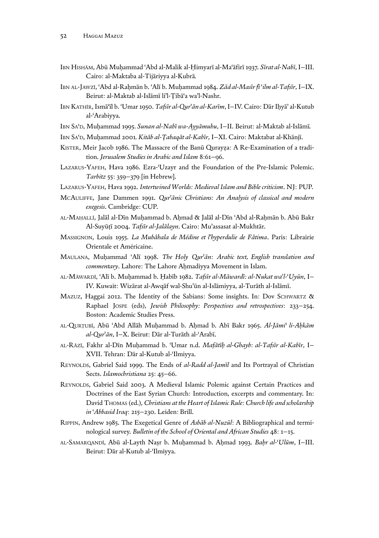- Ibn Hishām, Abū Muḥammad ʿAbd al-Malik al-Ḥimyarī al-Maʿāfirī 1937. *Sīrat al-Nabī*, I–III. Cairo: al-Maktaba al-Tijāriyya al-Kubrā*.*
- Ibn al-Jawzī, ʿAbd al-Raḥmān b. ʿAlī b. Muḥammad 1984. *Zād al-Masīr fī* ʿ*ilm al-Tafsīr*, I–IX. Beirut: al-Maktab al-Islāmī liʾl-Ṭibāʿa waʾl-Nashr.
- Ibn Kathīr, Ismāʿīl b. ʿUmar 1950. *Tafsīr al-Qur*ʾ*ān al-Karīm*, I–IV. Cairo: Dār Iḥyāʾ al-Kutub al-ʿArabiyya.
- Ibn Saʿd, Muḥammad 1995. *Sunan al-Nabī wa-Ayyāmuhu*, I–II. Beirut: al-Maktab al-Islāmī*.*
- IBN SA'D, Muḥammad 2001. Kitāb al-Țabaqāt al-Kabīr, I–XI. Cairo: Maktabat al-Khānjī.
- KISTER, Meir Jacob 1986. The Massacre of the Banū Qurayza: A Re-Examination of a tradition. *Jerusalem Studies in Arabic and Islam* 8:61–96.
- LAZARUS-YAFEH, Hava 1986. Ezra-'Uzayr and the Foundation of the Pre-Islamic Polemic. *Tarbitz* 55: 359–379 [in Hebrew].
- Lazarus-Yafeh, Hava 1992. *Intertwined Worlds: Medieval Islam and Bible criticism*. NJ: PUP.
- McAuliffe, Jane Dammen 1991. *Qur*ʾ*ānic Christians: An Analysis of classical and modern exegesis*. Cambridge: CUP.
- al-Maḥallī, Jalāl al-Dīn Muḥammad b. Aḥmad & Jalāl al-Dīn ʿAbd al-Raḥmān b. Abū Bakr Al-Suyūṭī 2004. *Tafsīr al-Jalālayn*. Cairo: Muʾassasat al-Mukhtār.
- Massignon, Louis 1955. *La Mubâhala de Médine et l'hyperdulie de Fâtima*. Paris: Librairie Orientale et Américaine.
- Maulana, Muḥammad ʿAlī 1998. *The Holy Qur*ʾ*ān: Arabic text, English translation and commentary*. Lahore: The Lahore Ahmadiyya Movement in Islam.
- al-Māwardī, ʿAlī b. Muḥammad b. Ḥabīb 1982. *Tafsīr al-Māwardī: al-Nukat wa*ʾ*l-*ʿ*Uyūn*, I– IV. Kuwait: Wizārat al-Awqāf wal-Shuʾūn al-Islāmiyya, al-Turāth al-Islāmī.
- Mazuz, Haggai 2012. The Identity of the Sabians: Some insights. In: Dov Schwartz & Raphael Jospe (eds), *Jewish Philosophy: Perspectives and retrospectives*: 233–254. Boston: Academic Studies Press.
- al-Qurṭubī, Abū ʿAbd Allāh Muḥammad b. Aḥmad b. Abī Bakr 1965. *Al-Jāmi* ʿ *li-Aḥkām al-Qur*ʾ*ān*, I–X. Beirut: Dār al-Turāth al-ʿArabī.
- al-Rāzī, Fakhr al-Dīn Muḥammad b. ʿUmar n.d. *Mafātīḥ al-Ghayb: al-Tafsīr al-Kabīr*, I– XVII. Tehran: Dār al-Kutub al-ʿIlmiyya.
- REYNOLDS, Gabriel Said 1999. The Ends of al-Radd al-Jamīl and Its Portrayal of Christian Sects. *Islamochristiana* 25: 45–66.
- REYNOLDS, Gabriel Said 2003. A Medieval Islamic Polemic against Certain Practices and Doctrines of the East Syrian Church: Introduction, excerpts and commentary. In: David Thomas (ed.), *Christians at the Heart of Islamic Rule: Church life and scholarship in* ʿ*Abbasid Iraq*: 215–230. Leiden: Brill.
- Rippin, Andrew 1985. The Exegetical Genre of *Asbāb al-Nuzūl*: A Bibliographical and terminological survey. *Bulletin of the School of Oriental and African Studies* 48: 1–15.
- al-Samarqandī, Abū al-Layth Naṣr b. Muḥammad b. Aḥmad 1993. *Baḥr al-*ʿ*Ulūm*, I–III. Beirut: Dār al-Kutub al-ʿIlmiyya.